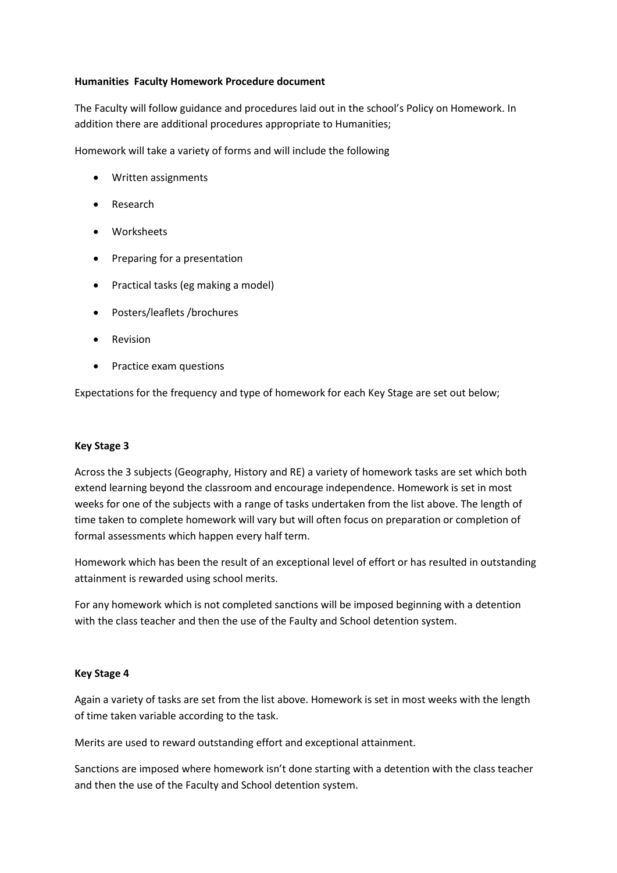## **Humanities Faculty Homework Procedure document**

The Faculty will follow guidance and procedures laid out in the school's Policy on Homework. In addition there are additional procedures appropriate to Humanities;

Homework will take a variety of forms and will include the following

- Written assignments
- Research
- Worksheets
- Preparing for a presentation
- Practical tasks (eg making a model)
- Posters/leaflets /brochures
- **•** Revision
- Practice exam questions

Expectations for the frequency and type of homework for each Key Stage are set out below;

## **Key Stage 3**

Across the 3 subjects (Geography, History and RE) a variety of homework tasks are set which both extend learning beyond the classroom and encourage independence. Homework is set in most weeks for one of the subjects with a range of tasks undertaken from the list above. The length of time taken to complete homework will vary but will often focus on preparation or completion of formal assessments which happen every half term.

Homework which has been the result of an exceptional level of effort or has resulted in outstanding attainment is rewarded using school merits.

For any homework which is not completed sanctions will be imposed beginning with a detention with the class teacher and then the use of the Faulty and School detention system.

## **Key Stage 4**

Again a variety of tasks are set from the list above. Homework is set in most weeks with the length of time taken variable according to the task.

Merits are used to reward outstanding effort and exceptional attainment.

Sanctions are imposed where homework isn't done starting with a detention with the class teacher and then the use of the Faculty and School detention system.